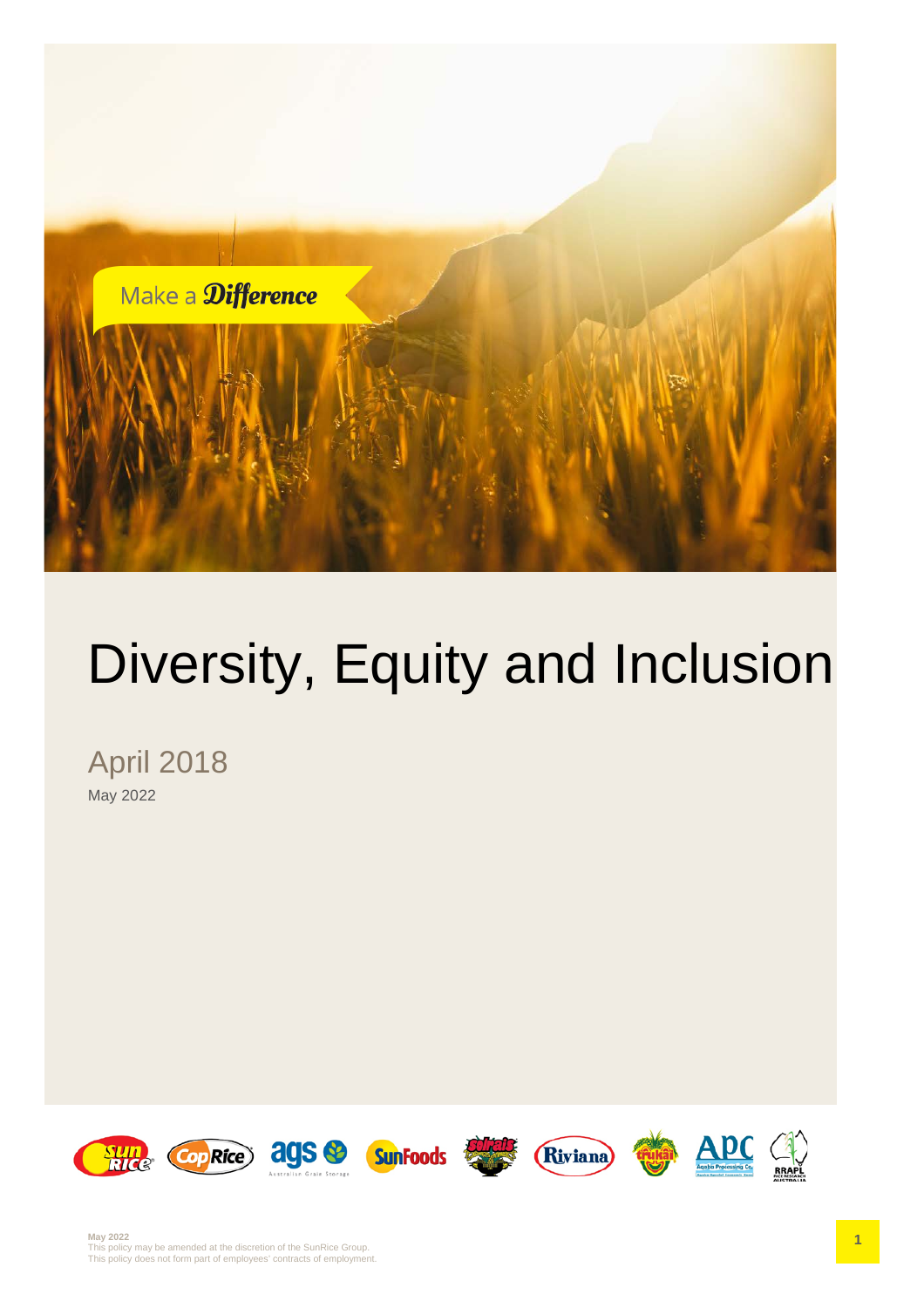

# Diversity, Equity and Inclusion

April 2018 May 2022

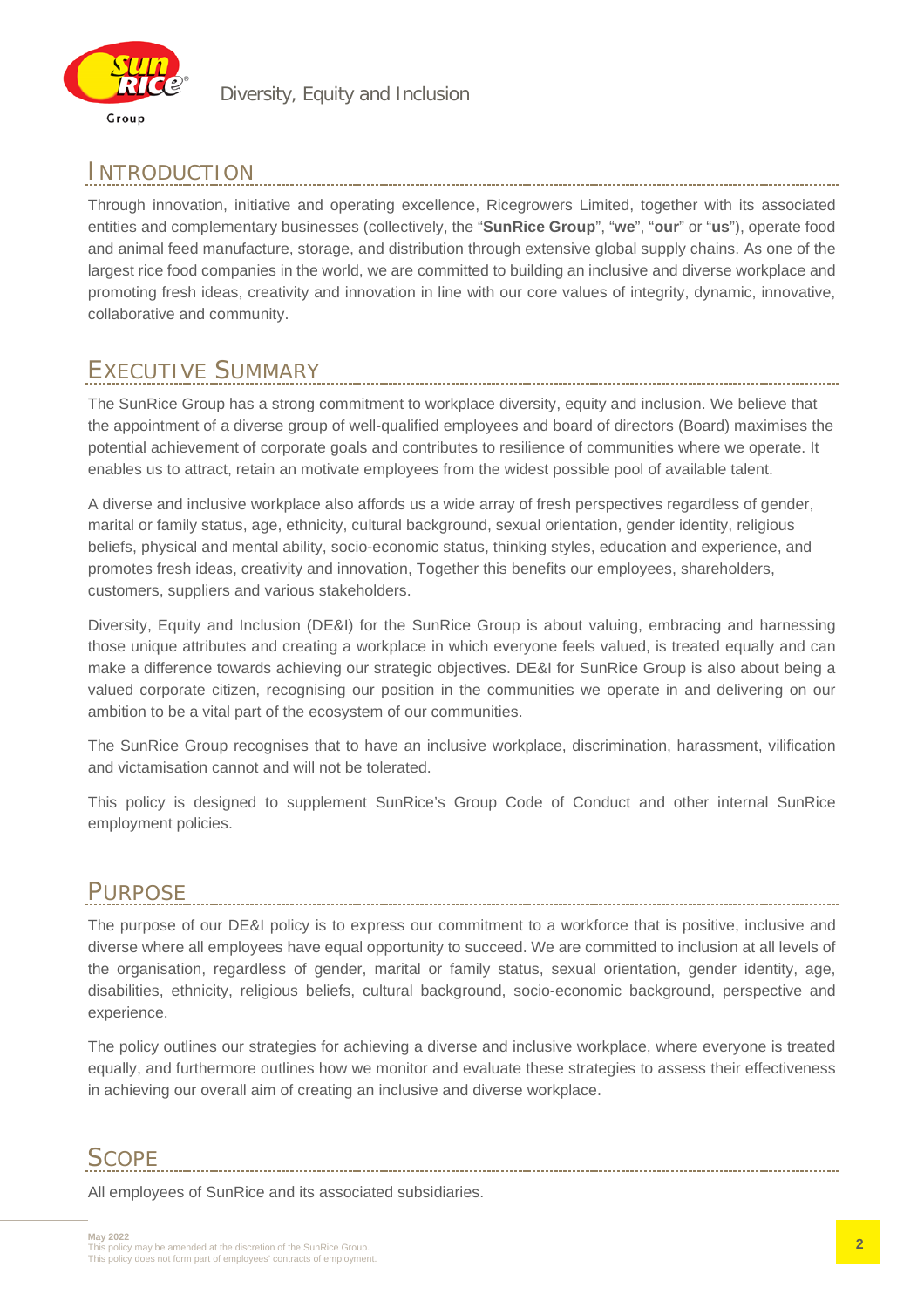

## INTRODUCTION

Through innovation, initiative and operating excellence, Ricegrowers Limited, together with its associated entities and complementary businesses (collectively, the "**SunRice Group**", "**we**", "**our**" or "**us**"), operate food and animal feed manufacture, storage, and distribution through extensive global supply chains. As one of the largest rice food companies in the world, we are committed to building an inclusive and diverse workplace and promoting fresh ideas, creativity and innovation in line with our core values of integrity, dynamic, innovative, collaborative and community.

# EXECUTIVE SUMMARY

The SunRice Group has a strong commitment to workplace diversity, equity and inclusion. We believe that the appointment of a diverse group of well-qualified employees and board of directors (Board) maximises the potential achievement of corporate goals and contributes to resilience of communities where we operate. It enables us to attract, retain an motivate employees from the widest possible pool of available talent.

A diverse and inclusive workplace also affords us a wide array of fresh perspectives regardless of gender, marital or family status, age, ethnicity, cultural background, sexual orientation, gender identity, religious beliefs, physical and mental ability, socio-economic status, thinking styles, education and experience, and promotes fresh ideas, creativity and innovation, Together this benefits our employees, shareholders, customers, suppliers and various stakeholders.

Diversity, Equity and Inclusion (DE&I) for the SunRice Group is about valuing, embracing and harnessing those unique attributes and creating a workplace in which everyone feels valued, is treated equally and can make a difference towards achieving our strategic objectives. DE&I for SunRice Group is also about being a valued corporate citizen, recognising our position in the communities we operate in and delivering on our ambition to be a vital part of the ecosystem of our communities.

The SunRice Group recognises that to have an inclusive workplace, discrimination, harassment, vilification and victamisation cannot and will not be tolerated.

This policy is designed to supplement SunRice's Group Code of Conduct and other internal SunRice employment policies.

# PURPOSE

The purpose of our DE&I policy is to express our commitment to a workforce that is positive, inclusive and diverse where all employees have equal opportunity to succeed. We are committed to inclusion at all levels of the organisation, regardless of gender, marital or family status, sexual orientation, gender identity, age, disabilities, ethnicity, religious beliefs, cultural background, socio-economic background, perspective and experience.

The policy outlines our strategies for achieving a diverse and inclusive workplace, where everyone is treated equally, and furthermore outlines how we monitor and evaluate these strategies to assess their effectiveness in achieving our overall aim of creating an inclusive and diverse workplace.

## **SCOPE**

All employees of SunRice and its associated subsidiaries.